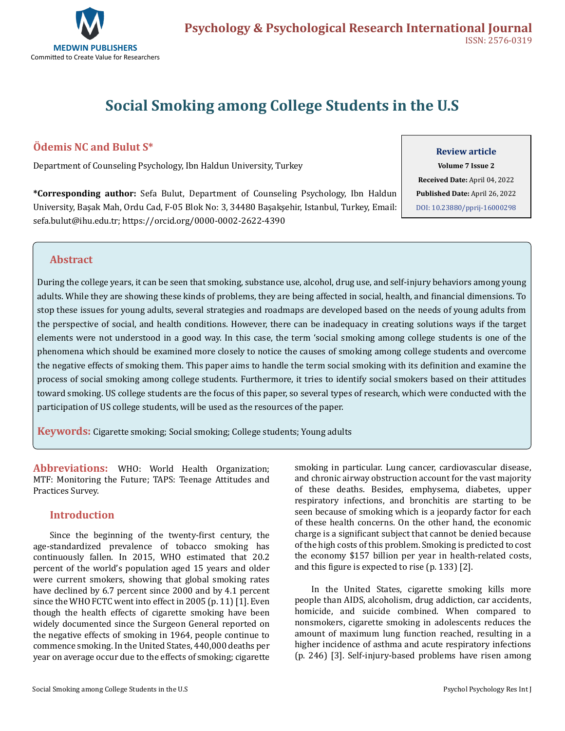

# **Social Smoking among College Students in the U.S**

# **Ödemis NC and Bulut S\***

Department of Counseling Psychology, Ibn Haldun University, Turkey

**\*Corresponding author:** Sefa Bulut, Department of Counseling Psychology, Ibn Haldun University, Başak Mah, Ordu Cad, F-05 Blok No: 3, 34480 Başakşehir, Istanbul, Turkey, Email: sefa.bulut@ihu.edu.tr; <https://orcid.org/0000-0002-2622-4390>

#### **Review article**

**Volume 7 Issue 2 Received Date:** April 04, 2022 **Published Date:** April 26, 2022 [DOI: 10.23880/pprij-16000298](https://doi.org/10.23880/pprij-16000298)

### **Abstract**

During the college years, it can be seen that smoking, substance use, alcohol, drug use, and self-injury behaviors among young adults. While they are showing these kinds of problems, they are being affected in social, health, and financial dimensions. To stop these issues for young adults, several strategies and roadmaps are developed based on the needs of young adults from the perspective of social, and health conditions. However, there can be inadequacy in creating solutions ways if the target elements were not understood in a good way. In this case, the term 'social smoking among college students is one of the phenomena which should be examined more closely to notice the causes of smoking among college students and overcome the negative effects of smoking them. This paper aims to handle the term social smoking with its definition and examine the process of social smoking among college students. Furthermore, it tries to identify social smokers based on their attitudes toward smoking. US college students are the focus of this paper, so several types of research, which were conducted with the participation of US college students, will be used as the resources of the paper.

**Keywords:** Cigarette smoking; Social smoking; College students; Young adults

**Abbreviations:** WHO: World Health Organization; MTF: Monitoring the Future; TAPS: Teenage Attitudes and Practices Survey.

## **Introduction**

Since the beginning of the twenty-first century, the age-standardized prevalence of tobacco smoking has continuously fallen. In 2015, WHO estimated that 20.2 percent of the world's population aged 15 years and older were current smokers, showing that global smoking rates have declined by 6.7 percent since 2000 and by 4.1 percent since the WHO FCTC went into effect in 2005 (p. 11) [1]. Even though the health effects of cigarette smoking have been widely documented since the Surgeon General reported on the negative effects of smoking in 1964, people continue to commence smoking. In the United States, 440,000 deaths per year on average occur due to the effects of smoking; cigarette smoking in particular. Lung cancer, cardiovascular disease, and chronic airway obstruction account for the vast majority of these deaths. Besides, emphysema, diabetes, upper respiratory infections, and bronchitis are starting to be seen because of smoking which is a jeopardy factor for each of these health concerns. On the other hand, the economic charge is a significant subject that cannot be denied because of the high costs of this problem. Smoking is predicted to cost the economy \$157 billion per year in health-related costs, and this figure is expected to rise (p. 133) [2].

In the United States, cigarette smoking kills more people than AIDS, alcoholism, drug addiction, car accidents, homicide, and suicide combined. When compared to nonsmokers, cigarette smoking in adolescents reduces the amount of maximum lung function reached, resulting in a higher incidence of asthma and acute respiratory infections (p. 246) [3]. Self-injury-based problems have risen among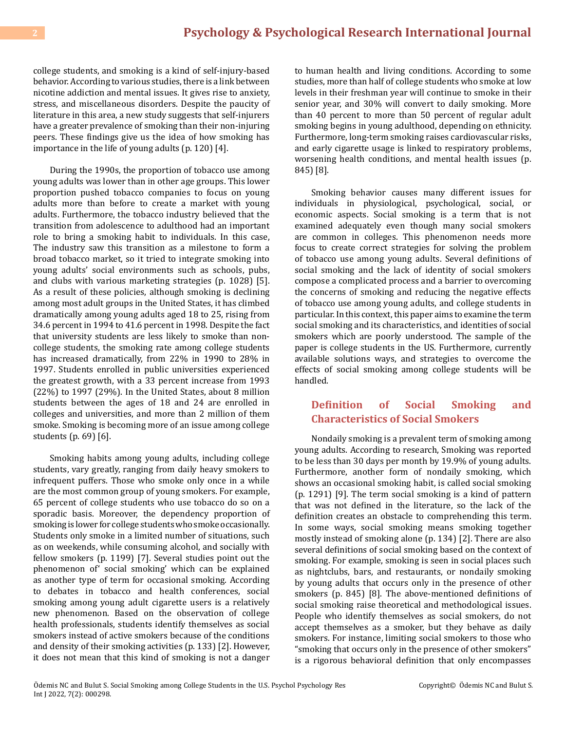college students, and smoking is a kind of self-injury-based behavior. According to various studies, there is a link between nicotine addiction and mental issues. It gives rise to anxiety, stress, and miscellaneous disorders. Despite the paucity of literature in this area, a new study suggests that self-injurers have a greater prevalence of smoking than their non-injuring peers. These findings give us the idea of how smoking has importance in the life of young adults (p. 120) [4].

During the 1990s, the proportion of tobacco use among young adults was lower than in other age groups. This lower proportion pushed tobacco companies to focus on young adults more than before to create a market with young adults. Furthermore, the tobacco industry believed that the transition from adolescence to adulthood had an important role to bring a smoking habit to individuals. In this case, The industry saw this transition as a milestone to form a broad tobacco market, so it tried to integrate smoking into young adults' social environments such as schools, pubs, and clubs with various marketing strategies (p. 1028) [5]. As a result of these policies, although smoking is declining among most adult groups in the United States, it has climbed dramatically among young adults aged 18 to 25, rising from 34.6 percent in 1994 to 41.6 percent in 1998. Despite the fact that university students are less likely to smoke than noncollege students, the smoking rate among college students has increased dramatically, from 22% in 1990 to 28% in 1997. Students enrolled in public universities experienced the greatest growth, with a 33 percent increase from 1993 (22%) to 1997 (29%). In the United States, about 8 million students between the ages of 18 and 24 are enrolled in colleges and universities, and more than 2 million of them smoke. Smoking is becoming more of an issue among college students (p. 69) [6].

Smoking habits among young adults, including college students, vary greatly, ranging from daily heavy smokers to infrequent puffers. Those who smoke only once in a while are the most common group of young smokers. For example, 65 percent of college students who use tobacco do so on a sporadic basis. Moreover, the dependency proportion of smoking is lower for college students who smoke occasionally. Students only smoke in a limited number of situations, such as on weekends, while consuming alcohol, and socially with fellow smokers (p. 1199) [7]. Several studies point out the phenomenon of' social smoking' which can be explained as another type of term for occasional smoking. According to debates in tobacco and health conferences, social smoking among young adult cigarette users is a relatively new phenomenon. Based on the observation of college health professionals, students identify themselves as social smokers instead of active smokers because of the conditions and density of their smoking activities (p. 133) [2]. However, it does not mean that this kind of smoking is not a danger

to human health and living conditions. According to some studies, more than half of college students who smoke at low levels in their freshman year will continue to smoke in their senior year, and 30% will convert to daily smoking. More than 40 percent to more than 50 percent of regular adult smoking begins in young adulthood, depending on ethnicity. Furthermore, long-term smoking raises cardiovascular risks, and early cigarette usage is linked to respiratory problems, worsening health conditions, and mental health issues (p. 845) [8].

Smoking behavior causes many different issues for individuals in physiological, psychological, social, or economic aspects. Social smoking is a term that is not examined adequately even though many social smokers are common in colleges. This phenomenon needs more focus to create correct strategies for solving the problem of tobacco use among young adults. Several definitions of social smoking and the lack of identity of social smokers compose a complicated process and a barrier to overcoming the concerns of smoking and reducing the negative effects of tobacco use among young adults, and college students in particular. In this context, this paper aims to examine the term social smoking and its characteristics, and identities of social smokers which are poorly understood. The sample of the paper is college students in the US. Furthermore, currently available solutions ways, and strategies to overcome the effects of social smoking among college students will be handled.

## **Definition of Social Smoking and Characteristics of Social Smokers**

Nondaily smoking is a prevalent term of smoking among young adults. According to research, Smoking was reported to be less than 30 days per month by 19.9% of young adults. Furthermore, another form of nondaily smoking, which shows an occasional smoking habit, is called social smoking (p. 1291) [9]. The term social smoking is a kind of pattern that was not defined in the literature, so the lack of the definition creates an obstacle to comprehending this term. In some ways, social smoking means smoking together mostly instead of smoking alone (p. 134) [2]. There are also several definitions of social smoking based on the context of smoking. For example, smoking is seen in social places such as nightclubs, bars, and restaurants, or nondaily smoking by young adults that occurs only in the presence of other smokers (p. 845) [8]. The above-mentioned definitions of social smoking raise theoretical and methodological issues. People who identify themselves as social smokers, do not accept themselves as a smoker, but they behave as daily smokers. For instance, limiting social smokers to those who "smoking that occurs only in the presence of other smokers" is a rigorous behavioral definition that only encompasses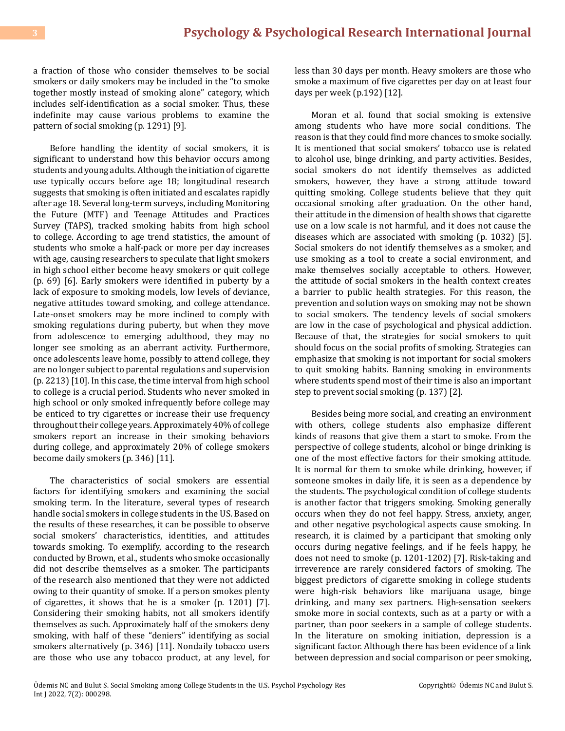a fraction of those who consider themselves to be social smokers or daily smokers may be included in the "to smoke together mostly instead of smoking alone" category, which includes self-identification as a social smoker. Thus, these indefinite may cause various problems to examine the pattern of social smoking (p. 1291) [9].

Before handling the identity of social smokers, it is significant to understand how this behavior occurs among students and young adults. Although the initiation of cigarette use typically occurs before age 18; longitudinal research suggests that smoking is often initiated and escalates rapidly after age 18. Several long-term surveys, including Monitoring the Future (MTF) and Teenage Attitudes and Practices Survey (TAPS), tracked smoking habits from high school to college. According to age trend statistics, the amount of students who smoke a half-pack or more per day increases with age, causing researchers to speculate that light smokers in high school either become heavy smokers or quit college (p. 69) [6]. Early smokers were identified in puberty by a lack of exposure to smoking models, low levels of deviance, negative attitudes toward smoking, and college attendance. Late-onset smokers may be more inclined to comply with smoking regulations during puberty, but when they move from adolescence to emerging adulthood, they may no longer see smoking as an aberrant activity. Furthermore, once adolescents leave home, possibly to attend college, they are no longer subject to parental regulations and supervision (p. 2213) [10]. In this case, the time interval from high school to college is a crucial period. Students who never smoked in high school or only smoked infrequently before college may be enticed to try cigarettes or increase their use frequency throughout their college years. Approximately 40% of college smokers report an increase in their smoking behaviors during college, and approximately 20% of college smokers become daily smokers (p. 346) [11].

The characteristics of social smokers are essential factors for identifying smokers and examining the social smoking term. In the literature, several types of research handle social smokers in college students in the US. Based on the results of these researches, it can be possible to observe social smokers' characteristics, identities, and attitudes towards smoking. To exemplify, according to the research conducted by Brown, et al., students who smoke occasionally did not describe themselves as a smoker. The participants of the research also mentioned that they were not addicted owing to their quantity of smoke. If a person smokes plenty of cigarettes, it shows that he is a smoker (p. 1201) [7]. Considering their smoking habits, not all smokers identify themselves as such. Approximately half of the smokers deny smoking, with half of these "deniers" identifying as social smokers alternatively (p. 346) [11]. Nondaily tobacco users are those who use any tobacco product, at any level, for

less than 30 days per month. Heavy smokers are those who smoke a maximum of five cigarettes per day on at least four days per week (p.192) [12].

Moran et al. found that social smoking is extensive among students who have more social conditions. The reason is that they could find more chances to smoke socially. It is mentioned that social smokers' tobacco use is related to alcohol use, binge drinking, and party activities. Besides, social smokers do not identify themselves as addicted smokers, however, they have a strong attitude toward quitting smoking. College students believe that they quit occasional smoking after graduation. On the other hand, their attitude in the dimension of health shows that cigarette use on a low scale is not harmful, and it does not cause the diseases which are associated with smoking (p. 1032) [5]. Social smokers do not identify themselves as a smoker, and use smoking as a tool to create a social environment, and make themselves socially acceptable to others. However, the attitude of social smokers in the health context creates a barrier to public health strategies. For this reason, the prevention and solution ways on smoking may not be shown to social smokers. The tendency levels of social smokers are low in the case of psychological and physical addiction. Because of that, the strategies for social smokers to quit should focus on the social profits of smoking. Strategies can emphasize that smoking is not important for social smokers to quit smoking habits. Banning smoking in environments where students spend most of their time is also an important step to prevent social smoking (p. 137) [2].

Besides being more social, and creating an environment with others, college students also emphasize different kinds of reasons that give them a start to smoke. From the perspective of college students, alcohol or binge drinking is one of the most effective factors for their smoking attitude. It is normal for them to smoke while drinking, however, if someone smokes in daily life, it is seen as a dependence by the students. The psychological condition of college students is another factor that triggers smoking. Smoking generally occurs when they do not feel happy. Stress, anxiety, anger, and other negative psychological aspects cause smoking. In research, it is claimed by a participant that smoking only occurs during negative feelings, and if he feels happy, he does not need to smoke (p. 1201-1202) [7]. Risk-taking and irreverence are rarely considered factors of smoking. The biggest predictors of cigarette smoking in college students were high-risk behaviors like marijuana usage, binge drinking, and many sex partners. High-sensation seekers smoke more in social contexts, such as at a party or with a partner, than poor seekers in a sample of college students. In the literature on smoking initiation, depression is a significant factor. Although there has been evidence of a link between depression and social comparison or peer smoking,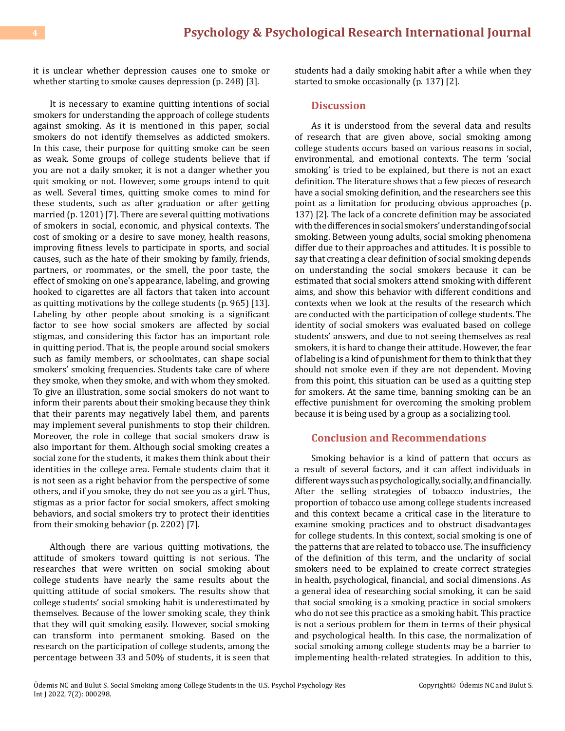it is unclear whether depression causes one to smoke or whether starting to smoke causes depression (p. 248) [3].

It is necessary to examine quitting intentions of social smokers for understanding the approach of college students against smoking. As it is mentioned in this paper, social smokers do not identify themselves as addicted smokers. In this case, their purpose for quitting smoke can be seen as weak. Some groups of college students believe that if you are not a daily smoker, it is not a danger whether you quit smoking or not. However, some groups intend to quit as well. Several times, quitting smoke comes to mind for these students, such as after graduation or after getting married (p. 1201) [7]. There are several quitting motivations of smokers in social, economic, and physical contexts. The cost of smoking or a desire to save money, health reasons, improving fitness levels to participate in sports, and social causes, such as the hate of their smoking by family, friends, partners, or roommates, or the smell, the poor taste, the effect of smoking on one's appearance, labeling, and growing hooked to cigarettes are all factors that taken into account as quitting motivations by the college students (p. 965) [13]. Labeling by other people about smoking is a significant factor to see how social smokers are affected by social stigmas, and considering this factor has an important role in quitting period. That is, the people around social smokers such as family members, or schoolmates, can shape social smokers' smoking frequencies. Students take care of where they smoke, when they smoke, and with whom they smoked. To give an illustration, some social smokers do not want to inform their parents about their smoking because they think that their parents may negatively label them, and parents may implement several punishments to stop their children. Moreover, the role in college that social smokers draw is also important for them. Although social smoking creates a social zone for the students, it makes them think about their identities in the college area. Female students claim that it is not seen as a right behavior from the perspective of some others, and if you smoke, they do not see you as a girl. Thus, stigmas as a prior factor for social smokers, affect smoking behaviors, and social smokers try to protect their identities from their smoking behavior (p. 2202) [7].

Although there are various quitting motivations, the attitude of smokers toward quitting is not serious. The researches that were written on social smoking about college students have nearly the same results about the quitting attitude of social smokers. The results show that college students' social smoking habit is underestimated by themselves. Because of the lower smoking scale, they think that they will quit smoking easily. However, social smoking can transform into permanent smoking. Based on the research on the participation of college students, among the percentage between 33 and 50% of students, it is seen that students had a daily smoking habit after a while when they started to smoke occasionally (p. 137) [2].

#### **Discussion**

As it is understood from the several data and results of research that are given above, social smoking among college students occurs based on various reasons in social, environmental, and emotional contexts. The term 'social smoking' is tried to be explained, but there is not an exact definition. The literature shows that a few pieces of research have a social smoking definition, and the researchers see this point as a limitation for producing obvious approaches (p. 137) [2]. The lack of a concrete definition may be associated with the differences in social smokers' understanding of social smoking. Between young adults, social smoking phenomena differ due to their approaches and attitudes. It is possible to say that creating a clear definition of social smoking depends on understanding the social smokers because it can be estimated that social smokers attend smoking with different aims, and show this behavior with different conditions and contexts when we look at the results of the research which are conducted with the participation of college students. The identity of social smokers was evaluated based on college students' answers, and due to not seeing themselves as real smokers, it is hard to change their attitude. However, the fear of labeling is a kind of punishment for them to think that they should not smoke even if they are not dependent. Moving from this point, this situation can be used as a quitting step for smokers. At the same time, banning smoking can be an effective punishment for overcoming the smoking problem because it is being used by a group as a socializing tool.

#### **Conclusion and Recommendations**

Smoking behavior is a kind of pattern that occurs as a result of several factors, and it can affect individuals in different ways such as psychologically, socially, and financially. After the selling strategies of tobacco industries, the proportion of tobacco use among college students increased and this context became a critical case in the literature to examine smoking practices and to obstruct disadvantages for college students. In this context, social smoking is one of the patterns that are related to tobacco use. The insufficiency of the definition of this term, and the unclarity of social smokers need to be explained to create correct strategies in health, psychological, financial, and social dimensions. As a general idea of researching social smoking, it can be said that social smoking is a smoking practice in social smokers who do not see this practice as a smoking habit. This practice is not a serious problem for them in terms of their physical and psychological health. In this case, the normalization of social smoking among college students may be a barrier to implementing health-related strategies. In addition to this,